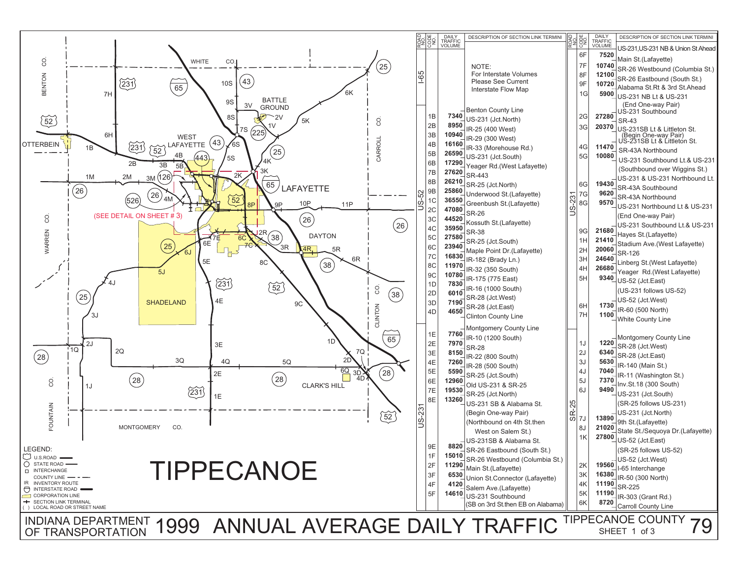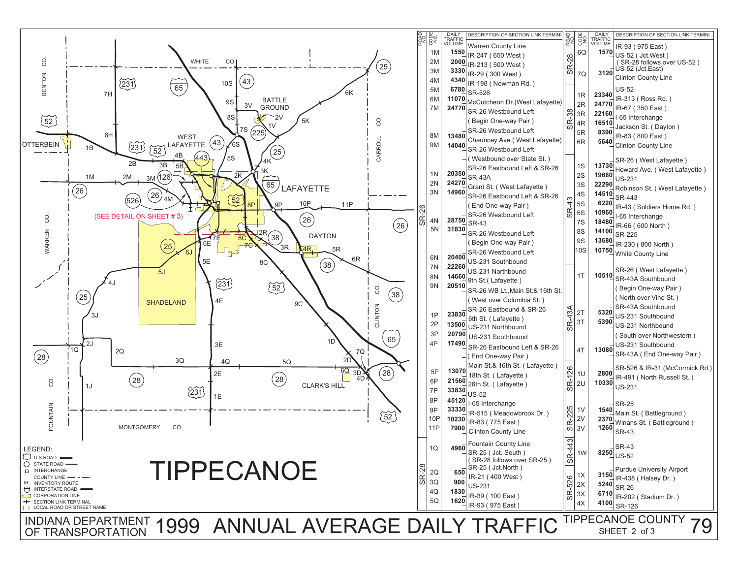